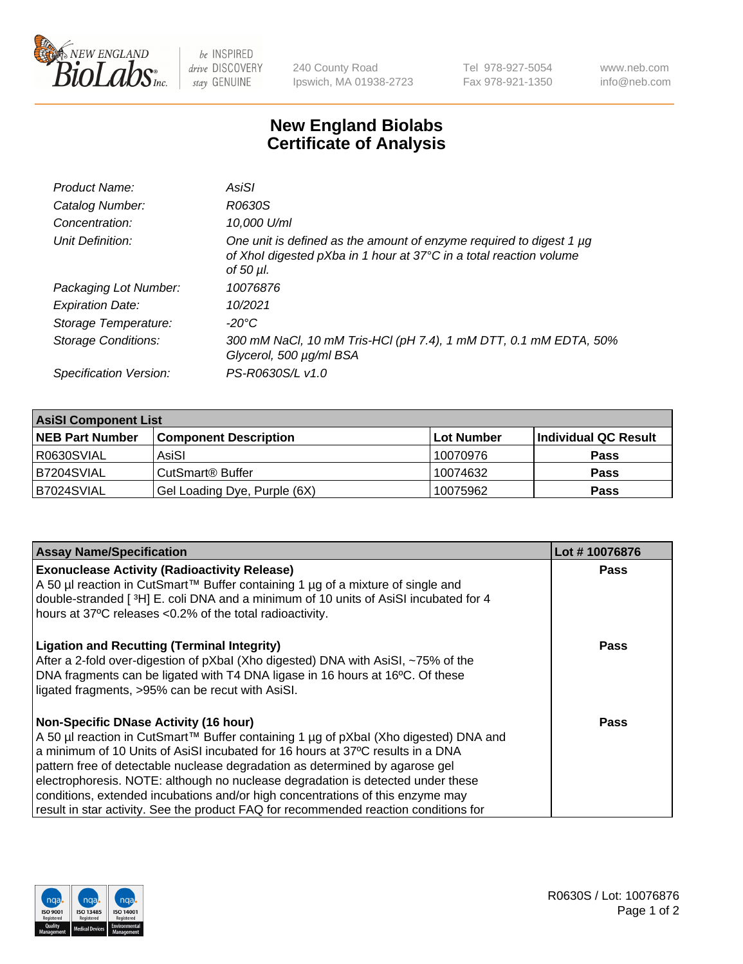

 $be$  INSPIRED drive DISCOVERY stay GENUINE

240 County Road Ipswich, MA 01938-2723 Tel 978-927-5054 Fax 978-921-1350 www.neb.com info@neb.com

## **New England Biolabs Certificate of Analysis**

| Product Name:           | AsiSI                                                                                                                                                  |
|-------------------------|--------------------------------------------------------------------------------------------------------------------------------------------------------|
| Catalog Number:         | R0630S                                                                                                                                                 |
| Concentration:          | 10,000 U/ml                                                                                                                                            |
| Unit Definition:        | One unit is defined as the amount of enzyme required to digest 1 µg<br>of Xhol digested pXba in 1 hour at 37°C in a total reaction volume<br>of 50 µl. |
| Packaging Lot Number:   | 10076876                                                                                                                                               |
| <b>Expiration Date:</b> | 10/2021                                                                                                                                                |
| Storage Temperature:    | $-20^{\circ}$ C                                                                                                                                        |
| Storage Conditions:     | 300 mM NaCl, 10 mM Tris-HCl (pH 7.4), 1 mM DTT, 0.1 mM EDTA, 50%<br>Glycerol, 500 µg/ml BSA                                                            |
| Specification Version:  | PS-R0630S/L v1.0                                                                                                                                       |

| <b>AsiSI Component List</b> |                              |             |                      |  |  |
|-----------------------------|------------------------------|-------------|----------------------|--|--|
| <b>NEB Part Number</b>      | <b>Component Description</b> | ∣Lot Number | Individual QC Result |  |  |
| I R0630SVIAL                | AsiSI                        | 10070976    | <b>Pass</b>          |  |  |
| B7204SVIAL                  | CutSmart <sup>®</sup> Buffer | 10074632    | <b>Pass</b>          |  |  |
| B7024SVIAL                  | Gel Loading Dye, Purple (6X) | 10075962    | <b>Pass</b>          |  |  |

| <b>Assay Name/Specification</b>                                                                                                                 | Lot #10076876 |
|-------------------------------------------------------------------------------------------------------------------------------------------------|---------------|
| <b>Exonuclease Activity (Radioactivity Release)</b><br>A 50 µl reaction in CutSmart™ Buffer containing 1 µg of a mixture of single and          | <b>Pass</b>   |
| double-stranded [3H] E. coli DNA and a minimum of 10 units of AsiSI incubated for 4<br>hours at 37°C releases <0.2% of the total radioactivity. |               |
| <b>Ligation and Recutting (Terminal Integrity)</b><br>After a 2-fold over-digestion of pXbal (Xho digested) DNA with AsiSI, ~75% of the         | Pass          |
| DNA fragments can be ligated with T4 DNA ligase in 16 hours at 16°C. Of these<br>ligated fragments, >95% can be recut with AsiSI.               |               |
| <b>Non-Specific DNase Activity (16 hour)</b>                                                                                                    | Pass          |
| A 50 µl reaction in CutSmart™ Buffer containing 1 µg of pXbal (Xho digested) DNA and                                                            |               |
| a minimum of 10 Units of AsiSI incubated for 16 hours at 37°C results in a DNA                                                                  |               |
| pattern free of detectable nuclease degradation as determined by agarose gel                                                                    |               |
| electrophoresis. NOTE: although no nuclease degradation is detected under these                                                                 |               |
| conditions, extended incubations and/or high concentrations of this enzyme may                                                                  |               |
| result in star activity. See the product FAQ for recommended reaction conditions for                                                            |               |